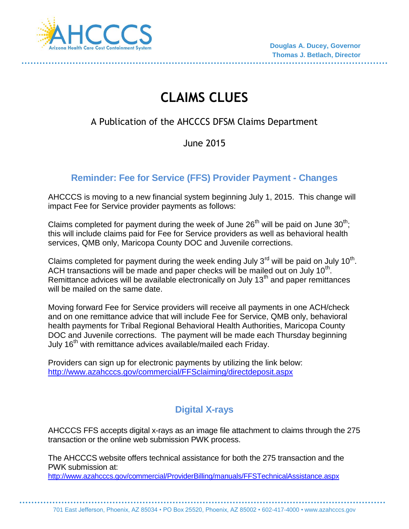

# **CLAIMS CLUES**

# A Publication of the AHCCCS DFSM Claims Department

# June 2015

# **Reminder: Fee for Service (FFS) Provider Payment - Changes**

AHCCCS is moving to a new financial system beginning July 1, 2015. This change will impact Fee for Service provider payments as follows:

Claims completed for payment during the week of June  $26<sup>th</sup>$  will be paid on June  $30<sup>th</sup>$ ; this will include claims paid for Fee for Service providers as well as behavioral health services, QMB only, Maricopa County DOC and Juvenile corrections.

Claims completed for payment during the week ending July 3<sup>rd</sup> will be paid on July 10<sup>th</sup>. ACH transactions will be made and paper checks will be mailed out on July  $10<sup>th</sup>$ . Remittance advices will be available electronically on July  $13<sup>th</sup>$  and paper remittances will be mailed on the same date.

Moving forward Fee for Service providers will receive all payments in one ACH/check and on one remittance advice that will include Fee for Service, QMB only, behavioral health payments for Tribal Regional Behavioral Health Authorities, Maricopa County DOC and Juvenile corrections. The payment will be made each Thursday beginning July 16<sup>th</sup> with remittance advices available/mailed each Friday.

Providers can sign up for electronic payments by utilizing the link below: <http://www.azahcccs.gov/commercial/FFSclaiming/directdeposit.aspx>

# **Digital X-rays**

AHCCCS FFS accepts digital x-rays as an image file attachment to claims through the 275 transaction or the online web submission PWK process.

The AHCCCS website offers technical assistance for both the 275 transaction and the PWK submission at:

<http://www.azahcccs.gov/commercial/ProviderBilling/manuals/FFSTechnicalAssistance.aspx>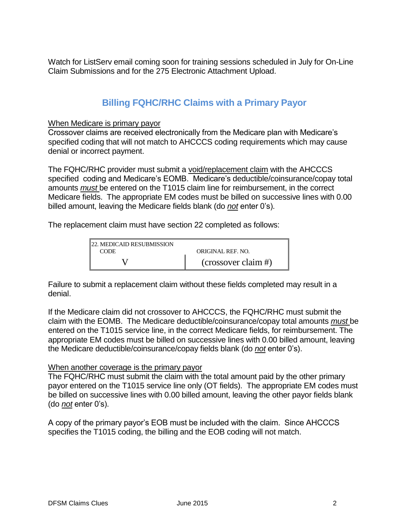Watch for ListServ email coming soon for training sessions scheduled in July for On-Line Claim Submissions and for the 275 Electronic Attachment Upload.

### **Billing FQHC/RHC Claims with a Primary Payor**

#### When Medicare is primary payor

Crossover claims are received electronically from the Medicare plan with Medicare's specified coding that will not match to AHCCCS coding requirements which may cause denial or incorrect payment.

The FQHC/RHC provider must submit a void/replacement claim with the AHCCCS specified coding and Medicare's EOMB. Medicare's deductible/coinsurance/copay total amounts *must* be entered on the T1015 claim line for reimbursement, in the correct Medicare fields. The appropriate EM codes must be billed on successive lines with 0.00 billed amount, leaving the Medicare fields blank (do *not* enter 0's).

The replacement claim must have section 22 completed as follows:

| <b>22. MEDICAID RESUBMISSION</b> |                          |
|----------------------------------|--------------------------|
| <b>CODE</b>                      | <b>ORIGINAL REF. NO.</b> |
|                                  | $(crossover claim$ #)    |

Failure to submit a replacement claim without these fields completed may result in a denial.

If the Medicare claim did not crossover to AHCCCS, the FQHC/RHC must submit the claim with the EOMB. The Medicare deductible/coinsurance/copay total amounts *must* be entered on the T1015 service line, in the correct Medicare fields, for reimbursement. The appropriate EM codes must be billed on successive lines with 0.00 billed amount, leaving the Medicare deductible/coinsurance/copay fields blank (do *not* enter 0's).

#### When another coverage is the primary payor

The FQHC/RHC must submit the claim with the total amount paid by the other primary payor entered on the T1015 service line only (OT fields). The appropriate EM codes must be billed on successive lines with 0.00 billed amount, leaving the other payor fields blank (do *not* enter 0's).

A copy of the primary payor's EOB must be included with the claim. Since AHCCCS specifies the T1015 coding, the billing and the EOB coding will not match.